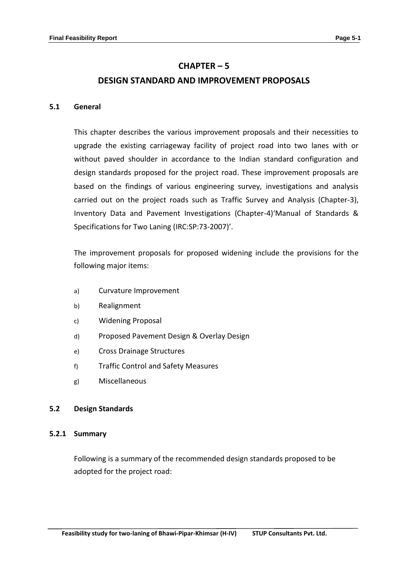# **CHAPTER – 5 DESIGN STANDARD AND IMPROVEMENT PROPOSALS**

### **5.1 General**

This chapter describes the various improvement proposals and their necessities to upgrade the existing carriageway facility of project road into two lanes with or without paved shoulder in accordance to the Indian standard configuration and design standards proposed for the project road. These improvement proposals are based on the findings of various engineering survey, investigations and analysis carried out on the project roads such as Traffic Survey and Analysis (Chapter-3), Inventory Data and Pavement Investigations (Chapter-4)'Manual of Standards & Specifications for Two Laning (IRC:SP:73-2007)'.

The improvement proposals for proposed widening include the provisions for the following major items:

- a) Curvature Improvement
- b) Realignment
- c) Widening Proposal
- d) Proposed Pavement Design & Overlay Design
- e) Cross Drainage Structures
- f) Traffic Control and Safety Measures
- g) Miscellaneous

### **5.2 Design Standards**

### **5.2.1 Summary**

Following is a summary of the recommended design standards proposed to be adopted for the project road: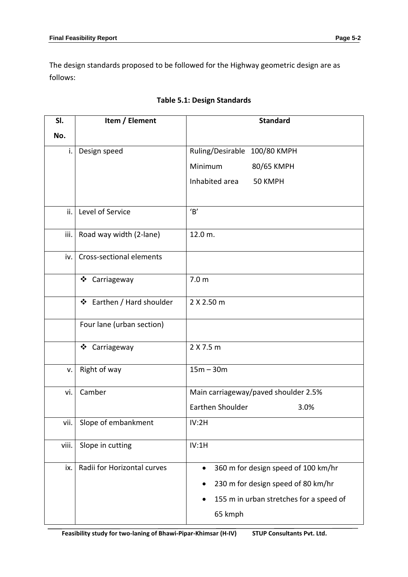The design standards proposed to be followed for the Highway geometric design are as follows:

| SI.   | Item / Element              | <b>Standard</b>                                  |
|-------|-----------------------------|--------------------------------------------------|
| No.   |                             |                                                  |
| i.    | Design speed                | Ruling/Desirable 100/80 KMPH                     |
|       |                             | Minimum<br>80/65 KMPH                            |
|       |                             | Inhabited area<br>50 KMPH                        |
|       |                             |                                                  |
| ii.   | Level of Service            | B'                                               |
| iii.  | Road way width (2-lane)     | 12.0 m.                                          |
| iv.   | Cross-sectional elements    |                                                  |
|       | ❖ Carriageway               | 7.0 <sub>m</sub>                                 |
|       | ❖ Earthen / Hard shoulder   | 2 X 2.50 m                                       |
|       | Four lane (urban section)   |                                                  |
|       | ❖ Carriageway               | 2 X 7.5 m                                        |
| v.    | Right of way                | $15m - 30m$                                      |
| vi.   | Camber                      | Main carriageway/paved shoulder 2.5%             |
|       |                             | Earthen Shoulder<br>3.0%                         |
| vii.  | Slope of embankment         | IV:2H                                            |
| viii. | Slope in cutting            | IV:1H                                            |
| ix.   | Radii for Horizontal curves | 360 m for design speed of 100 km/hr<br>$\bullet$ |
|       |                             | 230 m for design speed of 80 km/hr               |
|       |                             | 155 m in urban stretches for a speed of          |
|       |                             | 65 kmph                                          |

# **Table 5.1: Design Standards**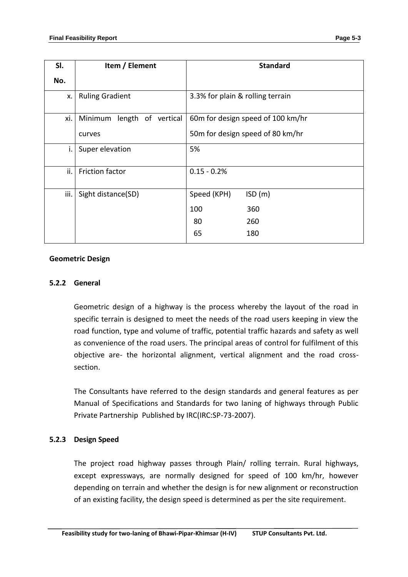| SI.  | Item / Element             | <b>Standard</b>                  |                                   |  |
|------|----------------------------|----------------------------------|-----------------------------------|--|
| No.  |                            |                                  |                                   |  |
| X.   | <b>Ruling Gradient</b>     | 3.3% for plain & rolling terrain |                                   |  |
| xi.  | Minimum length of vertical |                                  | 60m for design speed of 100 km/hr |  |
|      | curves                     |                                  | 50m for design speed of 80 km/hr  |  |
| i.   | Super elevation            | 5%                               |                                   |  |
| ii.  | <b>Friction factor</b>     | $0.15 - 0.2%$                    |                                   |  |
| iii. | Sight distance(SD)         | Speed (KPH)                      | ISO(m)                            |  |
|      |                            | 100                              | 360                               |  |
|      |                            | 80                               | 260                               |  |
|      |                            | 65                               | 180                               |  |

### **Geometric Design**

# **5.2.2 General**

Geometric design of a highway is the process whereby the layout of the road in specific terrain is designed to meet the needs of the road users keeping in view the road function, type and volume of traffic, potential traffic hazards and safety as well as convenience of the road users. The principal areas of control for fulfilment of this objective are- the horizontal alignment, vertical alignment and the road crosssection.

The Consultants have referred to the design standards and general features as per Manual of Specifications and Standards for two laning of highways through Public Private Partnership Published by IRC(IRC:SP-73-2007).

# **5.2.3 Design Speed**

The project road highway passes through Plain/ rolling terrain. Rural highways, except expressways, are normally designed for speed of 100 km/hr, however depending on terrain and whether the design is for new alignment or reconstruction of an existing facility, the design speed is determined as per the site requirement.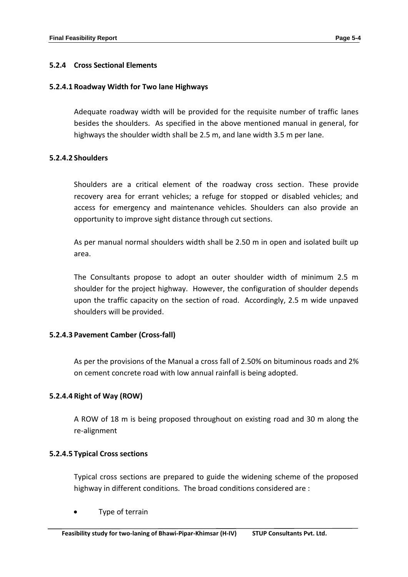# **5.2.4 Cross Sectional Elements**

# **5.2.4.1 Roadway Width for Two lane Highways**

Adequate roadway width will be provided for the requisite number of traffic lanes besides the shoulders. As specified in the above mentioned manual in general, for highways the shoulder width shall be 2.5 m, and lane width 3.5 m per lane.

# **5.2.4.2 Shoulders**

Shoulders are a critical element of the roadway cross section. These provide recovery area for errant vehicles; a refuge for stopped or disabled vehicles; and access for emergency and maintenance vehicles. Shoulders can also provide an opportunity to improve sight distance through cut sections.

As per manual normal shoulders width shall be 2.50 m in open and isolated built up area.

The Consultants propose to adopt an outer shoulder width of minimum 2.5 m shoulder for the project highway. However, the configuration of shoulder depends upon the traffic capacity on the section of road. Accordingly, 2.5 m wide unpaved shoulders will be provided.

# **5.2.4.3 Pavement Camber (Cross-fall)**

As per the provisions of the Manual a cross fall of 2.50% on bituminous roads and 2% on cement concrete road with low annual rainfall is being adopted.

# **5.2.4.4 Right of Way (ROW)**

A ROW of 18 m is being proposed throughout on existing road and 30 m along the re-alignment

# **5.2.4.5 Typical Cross sections**

Typical cross sections are prepared to guide the widening scheme of the proposed highway in different conditions. The broad conditions considered are :

Type of terrain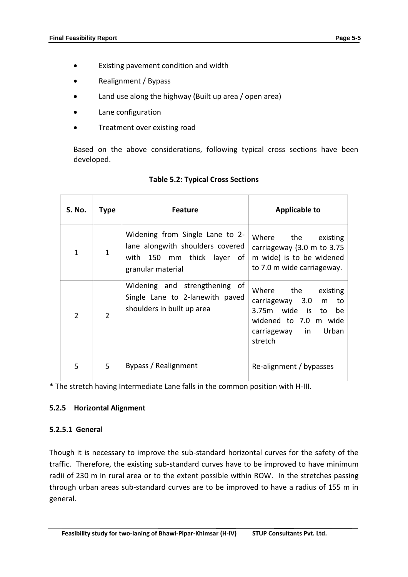- Existing pavement condition and width
- Realignment / Bypass
- Land use along the highway (Built up area / open area)
- Lane configuration
- Treatment over existing road

Based on the above considerations, following typical cross sections have been developed.

| S. No.         | Type           | <b>Feature</b>                                                                                                         | <b>Applicable to</b>                                                                                                                            |
|----------------|----------------|------------------------------------------------------------------------------------------------------------------------|-------------------------------------------------------------------------------------------------------------------------------------------------|
| $\mathbf{1}$   | $\mathbf{1}$   | Widening from Single Lane to 2-<br>lane alongwith shoulders covered<br>with 150 mm thick layer of<br>granular material | Where the existing<br>carriageway (3.0 m to 3.75<br>m wide) is to be widened<br>to 7.0 m wide carriageway.                                      |
| $\overline{2}$ | $\overline{2}$ | Widening and strengthening of<br>Single Lane to 2-lanewith paved<br>shoulders in built up area                         | Where the<br>existing<br>carriageway 3.0<br>to<br>m<br>3.75m wide is<br>to<br>be<br>widened to 7.0 m wide<br>Urban<br>carriageway in<br>stretch |
| 5              | 5              | Bypass / Realignment                                                                                                   | Re-alignment / bypasses                                                                                                                         |

# **Table 5.2: Typical Cross Sections**

\* The stretch having Intermediate Lane falls in the common position with H-III.

# **5.2.5 Horizontal Alignment**

# **5.2.5.1 General**

Though it is necessary to improve the sub-standard horizontal curves for the safety of the traffic. Therefore, the existing sub-standard curves have to be improved to have minimum radii of 230 m in rural area or to the extent possible within ROW. In the stretches passing through urban areas sub-standard curves are to be improved to have a radius of 155 m in general.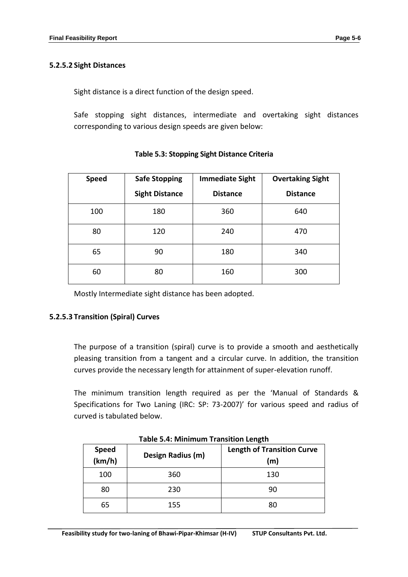# **5.2.5.2 Sight Distances**

Sight distance is a direct function of the design speed.

Safe stopping sight distances, intermediate and overtaking sight distances corresponding to various design speeds are given below:

| <b>Safe Stopping</b><br><b>Speed</b><br><b>Sight Distance</b> |     | <b>Immediate Sight</b><br><b>Distance</b> | <b>Overtaking Sight</b><br><b>Distance</b> |  |
|---------------------------------------------------------------|-----|-------------------------------------------|--------------------------------------------|--|
| 100                                                           | 180 | 360                                       | 640                                        |  |
| 80                                                            | 120 | 240                                       | 470                                        |  |
| 65                                                            | 90  | 180                                       | 340                                        |  |
| 60                                                            | 80  | 160                                       | 300                                        |  |

# **Table 5.3: Stopping Sight Distance Criteria**

Mostly Intermediate sight distance has been adopted.

# **5.2.5.3 Transition (Spiral) Curves**

The purpose of a transition (spiral) curve is to provide a smooth and aesthetically pleasing transition from a tangent and a circular curve. In addition, the transition curves provide the necessary length for attainment of super-elevation runoff.

The minimum transition length required as per the 'Manual of Standards & Specifications for Two Laning (IRC: SP: 73-2007)' for various speed and radius of curved is tabulated below.

| <b>Speed</b><br>(km/h) | Design Radius (m) | <b>Length of Transition Curve</b><br>(m) |
|------------------------|-------------------|------------------------------------------|
| 100                    | 360               | 130                                      |
| 80                     | 230               | 90                                       |
| 65                     | 155               | 80                                       |

### **Table 5.4: Minimum Transition Length**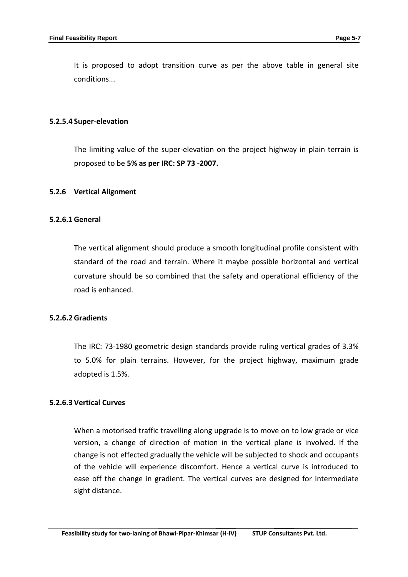It is proposed to adopt transition curve as per the above table in general site conditions...

#### **5.2.5.4 Super-elevation**

The limiting value of the super-elevation on the project highway in plain terrain is proposed to be **5% as per IRC: SP 73 -2007.**

#### **5.2.6 Vertical Alignment**

#### **5.2.6.1 General**

The vertical alignment should produce a smooth longitudinal profile consistent with standard of the road and terrain. Where it maybe possible horizontal and vertical curvature should be so combined that the safety and operational efficiency of the road is enhanced.

#### **5.2.6.2 Gradients**

The IRC: 73-1980 geometric design standards provide ruling vertical grades of 3.3% to 5.0% for plain terrains. However, for the project highway, maximum grade adopted is 1.5%.

### **5.2.6.3 Vertical Curves**

When a motorised traffic travelling along upgrade is to move on to low grade or vice version, a change of direction of motion in the vertical plane is involved. If the change is not effected gradually the vehicle will be subjected to shock and occupants of the vehicle will experience discomfort. Hence a vertical curve is introduced to ease off the change in gradient. The vertical curves are designed for intermediate sight distance.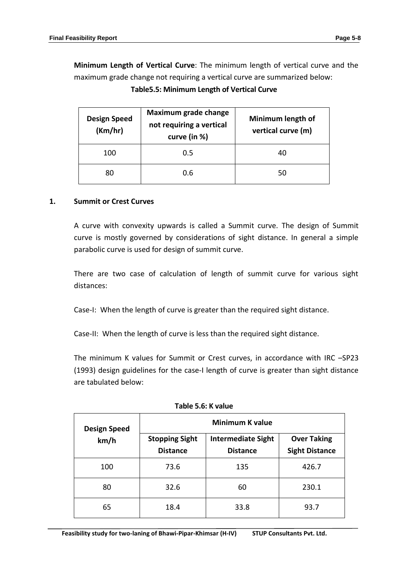**Minimum Length of Vertical Curve**: The minimum length of vertical curve and the maximum grade change not requiring a vertical curve are summarized below:

**Table5.5: Minimum Length of Vertical Curve**

| <b>Design Speed</b><br>(Km/hr) | Maximum grade change<br>not requiring a vertical<br>curve (in %) | Minimum length of<br>vertical curve (m) |  |
|--------------------------------|------------------------------------------------------------------|-----------------------------------------|--|
| 100                            | 0.5                                                              | 40                                      |  |
| 80                             | 0.6                                                              | 50                                      |  |

### **1. Summit or Crest Curves**

A curve with convexity upwards is called a Summit curve. The design of Summit curve is mostly governed by considerations of sight distance. In general a simple parabolic curve is used for design of summit curve.

There are two case of calculation of length of summit curve for various sight distances:

Case-I: When the length of curve is greater than the required sight distance.

Case-II: When the length of curve is less than the required sight distance.

The minimum K values for Summit or Crest curves, in accordance with IRC –SP23 (1993) design guidelines for the case-I length of curve is greater than sight distance are tabulated below:

| <b>Design Speed</b> | <b>Minimum K value</b>                   |                                              |                                             |  |  |
|---------------------|------------------------------------------|----------------------------------------------|---------------------------------------------|--|--|
| km/h                | <b>Stopping Sight</b><br><b>Distance</b> | <b>Intermediate Sight</b><br><b>Distance</b> | <b>Over Taking</b><br><b>Sight Distance</b> |  |  |
| 100                 | 73.6                                     | 135                                          | 426.7                                       |  |  |
| 80                  | 32.6                                     | 60                                           | 230.1                                       |  |  |
| 65                  | 18.4                                     | 33.8                                         | 93.7                                        |  |  |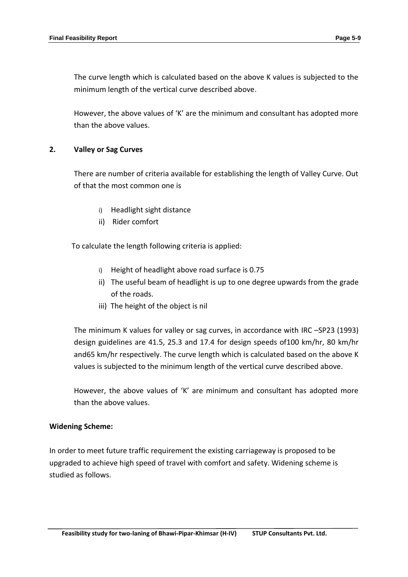The curve length which is calculated based on the above K values is subjected to the minimum length of the vertical curve described above.

However, the above values of 'K' are the minimum and consultant has adopted more than the above values.

# **2. Valley or Sag Curves**

There are number of criteria available for establishing the length of Valley Curve. Out of that the most common one is

- i) Headlight sight distance
- ii) Rider comfort

To calculate the length following criteria is applied:

- i) Height of headlight above road surface is 0.75
- ii) The useful beam of headlight is up to one degree upwards from the grade of the roads.
- iii) The height of the object is nil

The minimum K values for valley or sag curves, in accordance with IRC –SP23 (1993) design guidelines are 41.5, 25.3 and 17.4 for design speeds of100 km/hr, 80 km/hr and65 km/hr respectively. The curve length which is calculated based on the above K values is subjected to the minimum length of the vertical curve described above.

However, the above values of 'K' are minimum and consultant has adopted more than the above values.

### **Widening Scheme:**

In order to meet future traffic requirement the existing carriageway is proposed to be upgraded to achieve high speed of travel with comfort and safety. Widening scheme is studied as follows.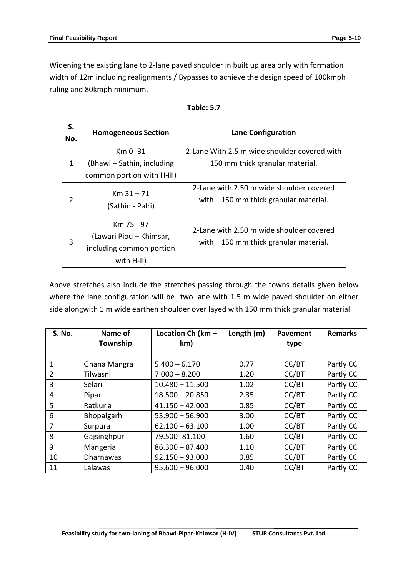Widening the existing lane to 2-lane paved shoulder in built up area only with formation width of 12m including realignments / Bypasses to achieve the design speed of 100kmph ruling and 80kmph minimum.

| S.<br>No.      | <b>Homogeneous Section</b>                                                      | <b>Lane Configuration</b>                                                           |
|----------------|---------------------------------------------------------------------------------|-------------------------------------------------------------------------------------|
| $\mathbf{1}$   | $Km$ 0 -31<br>(Bhawi - Sathin, including<br>common portion with H-III)          | 2-Lane With 2.5 m wide shoulder covered with<br>150 mm thick granular material.     |
| $\overline{2}$ | $Km 31 - 71$<br>(Sathin - Palri)                                                | 2-Lane with 2.50 m wide shoulder covered<br>150 mm thick granular material.<br>with |
| 3              | Km 75 - 97<br>(Lawari Piou - Khimsar,<br>including common portion<br>with H-II) | 2-Lane with 2.50 m wide shoulder covered<br>with 150 mm thick granular material.    |

| Table: 5.7 |  |
|------------|--|
|------------|--|

Above stretches also include the stretches passing through the towns details given below where the lane configuration will be two lane with 1.5 m wide paved shoulder on either side alongwith 1 m wide earthen shoulder over layed with 150 mm thick granular material.

| <b>S. No.</b>  | Name of          | Location Ch ( $km -$ | Length (m) | Pavement | <b>Remarks</b> |
|----------------|------------------|----------------------|------------|----------|----------------|
|                | Township         | km)                  |            | type     |                |
|                |                  |                      |            |          |                |
| 1              | Ghana Mangra     | $5.400 - 6.170$      | 0.77       | CC/BT    | Partly CC      |
| $\overline{2}$ | Tilwasni         | $7.000 - 8.200$      | 1.20       | CC/BT    | Partly CC      |
| 3              | Selari           | $10.480 - 11.500$    | 1.02       | CC/BT    | Partly CC      |
| 4              | Pipar            | $18.500 - 20.850$    | 2.35       | CC/BT    | Partly CC      |
| 5              | Ratkuria         | $41.150 - 42.000$    | 0.85       | CC/BT    | Partly CC      |
| 6              | Bhopalgarh       | $53.900 - 56.900$    | 3.00       | CC/BT    | Partly CC      |
| 7              | Surpura          | $62.100 - 63.100$    | 1.00       | CC/BT    | Partly CC      |
| 8              | Gajsinghpur      | 79.500-81.100        | 1.60       | CC/BT    | Partly CC      |
| 9              | Mangeria         | $86.300 - 87.400$    | 1.10       | CC/BT    | Partly CC      |
| 10             | <b>Dharnawas</b> | $92.150 - 93.000$    | 0.85       | CC/BT    | Partly CC      |
| 11             | Lalawas          | $95.600 - 96.000$    | 0.40       | CC/BT    | Partly CC      |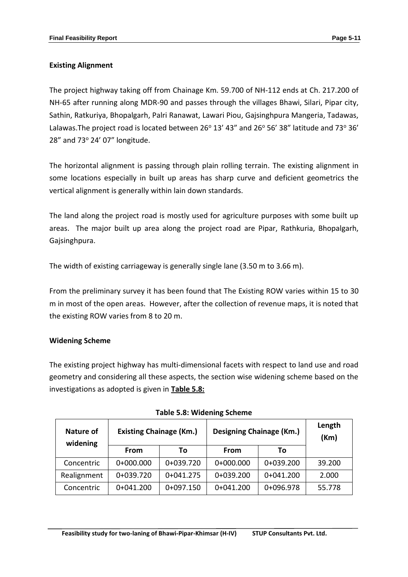# **Existing Alignment**

The project highway taking off from Chainage Km. 59.700 of NH-112 ends at Ch. 217.200 of NH-65 after running along MDR-90 and passes through the villages Bhawi, Silari, Pipar city, Sathin, Ratkuriya, Bhopalgarh, Palri Ranawat, Lawari Piou, Gajsinghpura Mangeria, Tadawas, Lalawas. The project road is located between 26 $^{\circ}$  13' 43" and 26 $^{\circ}$  56' 38" latitude and 73 $^{\circ}$  36' 28" and 73° 24' 07" longitude.

The horizontal alignment is passing through plain rolling terrain. The existing alignment in some locations especially in built up areas has sharp curve and deficient geometrics the vertical alignment is generally within lain down standards.

The land along the project road is mostly used for agriculture purposes with some built up areas. The major built up area along the project road are Pipar, Rathkuria, Bhopalgarh, Gajsinghpura.

The width of existing carriageway is generally single lane (3.50 m to 3.66 m).

From the preliminary survey it has been found that The Existing ROW varies within 15 to 30 m in most of the open areas. However, after the collection of revenue maps, it is noted that the existing ROW varies from 8 to 20 m.

### **Widening Scheme**

The existing project highway has multi-dimensional facets with respect to land use and road geometry and considering all these aspects, the section wise widening scheme based on the investigations as adopted is given in **Table 5.8:**

| Nature of<br>widening | <b>Existing Chainage (Km.)</b> |             | Designing Chainage (Km.) |             | Length<br>(Km) |
|-----------------------|--------------------------------|-------------|--------------------------|-------------|----------------|
|                       | From                           | То          | <b>From</b>              | То          |                |
| Concentric            | $0+000.000$                    | 0+039.720   | $0+000.000$              | 0+039.200   | 39.200         |
| Realignment           | 0+039.720                      | $0+041.275$ | 0+039.200                | $0+041.200$ | 2.000          |
| Concentric            | $0+041.200$                    | $0+097.150$ | $0+041.200$              | 0+096.978   | 55.778         |

|  |  | <b>Table 5.8: Widening Scheme</b> |
|--|--|-----------------------------------|
|--|--|-----------------------------------|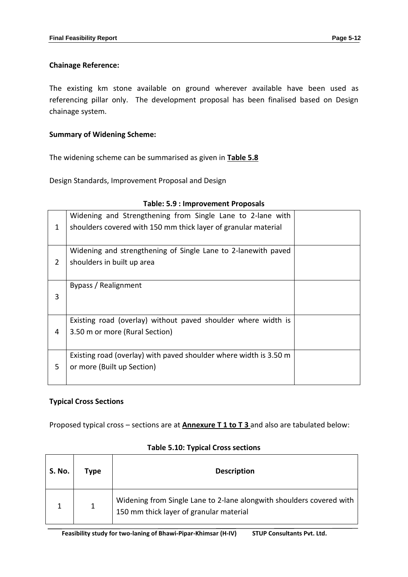## **Chainage Reference:**

The existing km stone available on ground wherever available have been used as referencing pillar only. The development proposal has been finalised based on Design chainage system.

# **Summary of Widening Scheme:**

The widening scheme can be summarised as given in **Table 5.8**

Design Standards, Improvement Proposal and Design

| 1 | Widening and Strengthening from Single Lane to 2-lane with<br>shoulders covered with 150 mm thick layer of granular material |  |
|---|------------------------------------------------------------------------------------------------------------------------------|--|
| 2 | Widening and strengthening of Single Lane to 2-lanewith paved<br>shoulders in built up area                                  |  |
| 3 | Bypass / Realignment                                                                                                         |  |
| 4 | Existing road (overlay) without paved shoulder where width is<br>3.50 m or more (Rural Section)                              |  |
| 5 | Existing road (overlay) with paved shoulder where width is 3.50 m<br>or more (Built up Section)                              |  |

### **Table: 5.9 : Improvement Proposals**

# **Typical Cross Sections**

Proposed typical cross – sections are at **Annexure T 1 to T 3** and also are tabulated below:

| <b>S. No.</b> | Type | <b>Description</b>                                                                                              |
|---------------|------|-----------------------------------------------------------------------------------------------------------------|
|               |      | Widening from Single Lane to 2-lane alongwith shoulders covered with<br>150 mm thick layer of granular material |

### **Table 5.10: Typical Cross sections**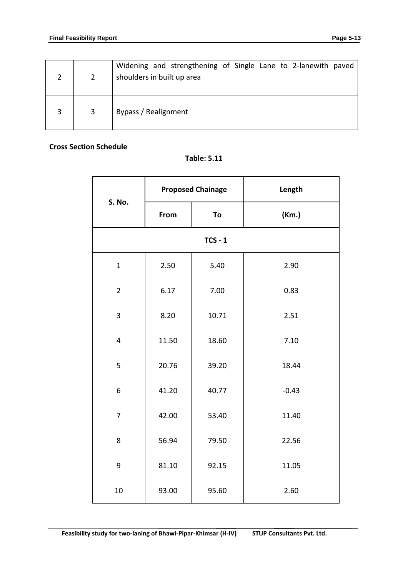|   |   | Widening and strengthening of Single Lane to 2-lanewith paved<br>shoulders in built up area |
|---|---|---------------------------------------------------------------------------------------------|
| 3 | 3 | Bypass / Realignment                                                                        |

### **Cross Section Schedule**

**Table: 5.11**

| S. No.           |       | <b>Proposed Chainage</b> | Length  |  |
|------------------|-------|--------------------------|---------|--|
|                  | From  | To                       | (Km.)   |  |
|                  |       | $TCS - 1$                |         |  |
| $\mathbf{1}$     | 2.50  | 5.40                     | 2.90    |  |
| $\overline{2}$   | 6.17  | 7.00                     | 0.83    |  |
| 3                | 8.20  | 10.71                    | 2.51    |  |
| $\overline{4}$   | 11.50 | 18.60                    | 7.10    |  |
| 5                | 20.76 | 39.20                    | 18.44   |  |
| 6                | 41.20 | 40.77                    | $-0.43$ |  |
| $\overline{7}$   | 42.00 | 53.40                    | 11.40   |  |
| 8                | 56.94 | 79.50                    | 22.56   |  |
| $\boldsymbol{9}$ | 81.10 | 92.15                    | 11.05   |  |
| 10               | 93.00 | 95.60                    | 2.60    |  |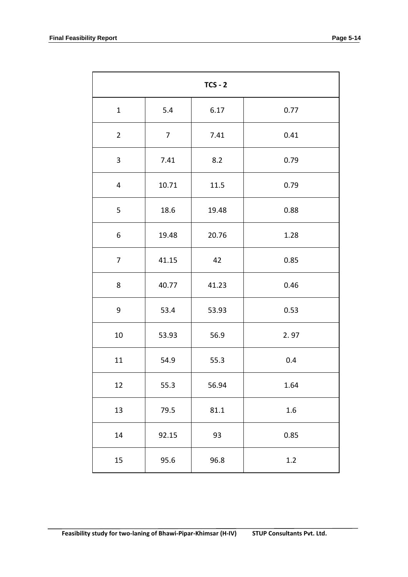| $TCS - 2$      |                |          |         |  |  |
|----------------|----------------|----------|---------|--|--|
| $\mathbf{1}$   | 5.4            | 6.17     | 0.77    |  |  |
| $\overline{2}$ | $\overline{7}$ | 7.41     | 0.41    |  |  |
| 3              | 7.41           | 8.2      | 0.79    |  |  |
| 4              | 10.71          | 11.5     | 0.79    |  |  |
| 5              | 18.6           | 19.48    | 0.88    |  |  |
| 6              | 19.48          | 20.76    | 1.28    |  |  |
| $\overline{7}$ | 41.15          | 42       | 0.85    |  |  |
| 8              | 40.77          | 41.23    | 0.46    |  |  |
| 9              | 53.4           | 53.93    | 0.53    |  |  |
| 10             | 53.93          | 56.9     | 2.97    |  |  |
| 11             | 54.9           | 55.3     | 0.4     |  |  |
| 12             | 55.3           | 56.94    | 1.64    |  |  |
| 13             | 79.5           | $81.1\,$ | $1.6\,$ |  |  |
| 14             | 92.15          | 93       | 0.85    |  |  |
| 15             | 95.6           | 96.8     | $1.2\,$ |  |  |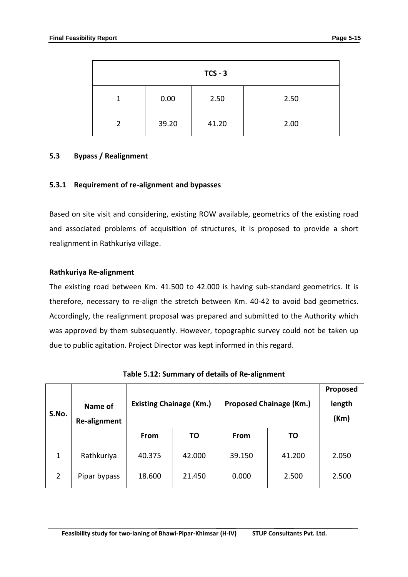| $TCS - 3$     |       |       |      |  |  |  |
|---------------|-------|-------|------|--|--|--|
|               | 0.00  | 2.50  | 2.50 |  |  |  |
| $\mathcal{P}$ | 39.20 | 41.20 | 2.00 |  |  |  |

### **5.3 Bypass / Realignment**

#### **5.3.1 Requirement of re-alignment and bypasses**

Based on site visit and considering, existing ROW available, geometrics of the existing road and associated problems of acquisition of structures, it is proposed to provide a short realignment in Rathkuriya village.

#### **Rathkuriya Re-alignment**

The existing road between Km. 41.500 to 42.000 is having sub-standard geometrics. It is therefore, necessary to re-align the stretch between Km. 40-42 to avoid bad geometrics. Accordingly, the realignment proposal was prepared and submitted to the Authority which was approved by them subsequently. However, topographic survey could not be taken up due to public agitation. Project Director was kept informed in this regard.

| S.No. | Name of<br>Re-alignment | <b>Existing Chainage (Km.)</b> |           | <b>Proposed Chainage (Km.)</b> | Proposed<br>length<br>(Km) |       |
|-------|-------------------------|--------------------------------|-----------|--------------------------------|----------------------------|-------|
|       |                         | <b>From</b>                    | <b>TO</b> | <b>From</b>                    | ΤO                         |       |
| 1     | Rathkuriya              | 40.375                         | 42.000    | 39.150                         | 41.200                     | 2.050 |
| 2     | Pipar bypass            | 18.600                         | 21.450    | 0.000                          | 2.500                      | 2.500 |

**Table 5.12: Summary of details of Re-alignment**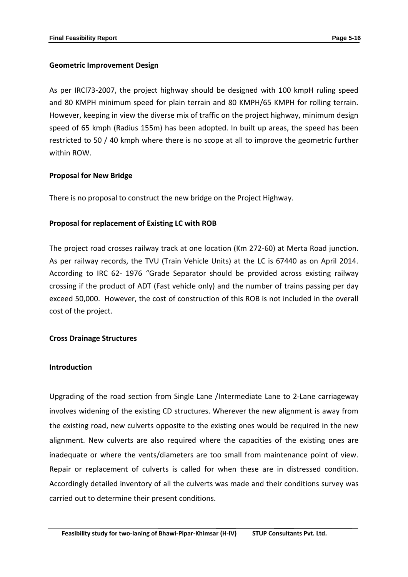## **Geometric Improvement Design**

As per IRCl73-2007, the project highway should be designed with 100 kmpH ruling speed and 80 KMPH minimum speed for plain terrain and 80 KMPH/65 KMPH for rolling terrain. However, keeping in view the diverse mix of traffic on the project highway, minimum design speed of 65 kmph (Radius 155m) has been adopted. In built up areas, the speed has been restricted to 50 / 40 kmph where there is no scope at all to improve the geometric further within ROW.

# **Proposal for New Bridge**

There is no proposal to construct the new bridge on the Project Highway.

# **Proposal for replacement of Existing LC with ROB**

The project road crosses railway track at one location (Km 272-60) at Merta Road junction. As per railway records, the TVU (Train Vehicle Units) at the LC is 67440 as on April 2014. According to IRC 62- 1976 "Grade Separator should be provided across existing railway crossing if the product of ADT (Fast vehicle only) and the number of trains passing per day exceed 50,000. However, the cost of construction of this ROB is not included in the overall cost of the project.

### **Cross Drainage Structures**

### **Introduction**

Upgrading of the road section from Single Lane /Intermediate Lane to 2-Lane carriageway involves widening of the existing CD structures. Wherever the new alignment is away from the existing road, new culverts opposite to the existing ones would be required in the new alignment. New culverts are also required where the capacities of the existing ones are inadequate or where the vents/diameters are too small from maintenance point of view. Repair or replacement of culverts is called for when these are in distressed condition. Accordingly detailed inventory of all the culverts was made and their conditions survey was carried out to determine their present conditions.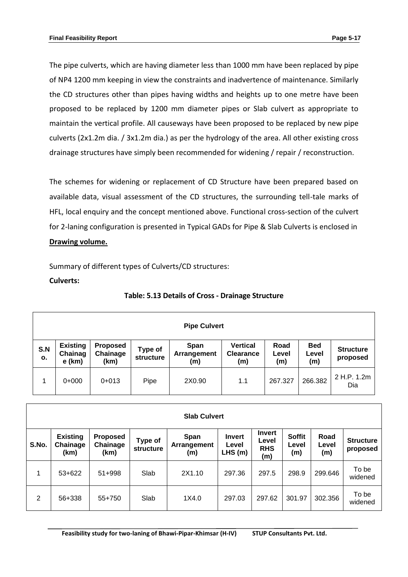The pipe culverts, which are having diameter less than 1000 mm have been replaced by pipe of NP4 1200 mm keeping in view the constraints and inadvertence of maintenance. Similarly the CD structures other than pipes having widths and heights up to one metre have been proposed to be replaced by 1200 mm diameter pipes or Slab culvert as appropriate to maintain the vertical profile. All causeways have been proposed to be replaced by new pipe culverts (2x1.2m dia. / 3x1.2m dia.) as per the hydrology of the area. All other existing cross drainage structures have simply been recommended for widening / repair / reconstruction.

The schemes for widening or replacement of CD Structure have been prepared based on available data, visual assessment of the CD structures, the surrounding tell-tale marks of HFL, local enquiry and the concept mentioned above. Functional cross-section of the culvert for 2-laning configuration is presented in Typical GADs for Pipe & Slab Culverts is enclosed in **Drawing volume.**

Summary of different types of Culverts/CD structures:

# **Culverts:**

| <b>Pipe Culvert</b> |                                        |                                     |                             |                            |                                            |                      |                            |                              |
|---------------------|----------------------------------------|-------------------------------------|-----------------------------|----------------------------|--------------------------------------------|----------------------|----------------------------|------------------------------|
| S.N<br>О.           | <b>Existing</b><br>Chainag<br>$e$ (km) | <b>Proposed</b><br>Chainage<br>(km) | Type of<br><b>structure</b> | Span<br>Arrangement<br>(m) | <b>Vertical</b><br><b>Clearance</b><br>(m) | Road<br>Level<br>(m) | <b>Bed</b><br>Level<br>(m) | <b>Structure</b><br>proposed |
|                     | $0+000$                                | $0+013$                             | Pipe                        | 2X0.90                     | 1.1                                        | 267.327              | 266.382                    | 2 H.P. 1.2m<br>Dia           |

# **Table: 5.13 Details of Cross - Drainage Structure**

|       | <b>Slab Culvert</b>                 |                                     |                             |                            |                                  |                                             |                               |                      |                              |  |
|-------|-------------------------------------|-------------------------------------|-----------------------------|----------------------------|----------------------------------|---------------------------------------------|-------------------------------|----------------------|------------------------------|--|
| S.No. | <b>Existing</b><br>Chainage<br>(km) | <b>Proposed</b><br>Chainage<br>(km) | Type of<br><b>structure</b> | Span<br>Arrangement<br>(m) | <b>Invert</b><br>Level<br>LHS(m) | <b>Invert</b><br>Level<br><b>RHS</b><br>(m) | <b>Soffit</b><br>Level<br>(m) | Road<br>Level<br>(m) | <b>Structure</b><br>proposed |  |
| 1     | $53+622$                            | $51 + 998$                          | Slab                        | 2X1.10                     | 297.36                           | 297.5                                       | 298.9                         | 299.646              | To be<br>widened             |  |
| 2     | 56+338                              | 55+750                              | Slab                        | 1X4.0                      | 297.03                           | 297.62                                      | 301.97                        | 302.356              | To be<br>widened             |  |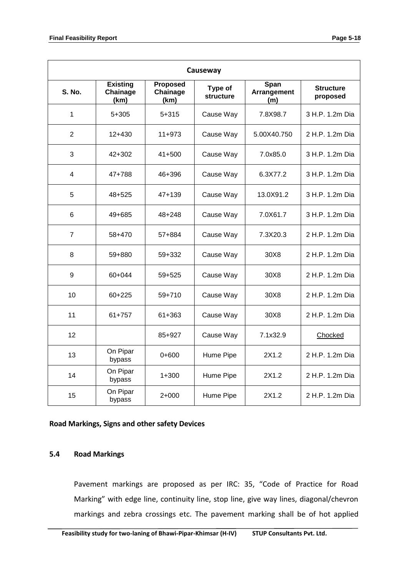| Causeway                |                                     |                                     |                      |                                   |                              |  |  |  |
|-------------------------|-------------------------------------|-------------------------------------|----------------------|-----------------------------------|------------------------------|--|--|--|
| <b>S. No.</b>           | <b>Existing</b><br>Chainage<br>(km) | <b>Proposed</b><br>Chainage<br>(km) | Type of<br>structure | <b>Span</b><br>Arrangement<br>(m) | <b>Structure</b><br>proposed |  |  |  |
| 1                       | 5+305                               | 5+315                               | Cause Way            | 7.8X98.7                          | 3 H.P. 1.2m Dia              |  |  |  |
| $\overline{2}$          | $12+430$                            | 11+973                              | Cause Way            | 5.00X40.750                       | 2 H.P. 1.2m Dia              |  |  |  |
| 3                       | $42 + 302$                          | $41 + 500$                          | Cause Way            | 7.0x85.0                          | 3 H.P. 1.2m Dia              |  |  |  |
| $\overline{\mathbf{4}}$ | 47+788                              | 46+396                              | Cause Way            | 6.3X77.2                          | 3 H.P. 1.2m Dia              |  |  |  |
| 5                       | $48 + 525$                          | $47+139$                            | Cause Way            | 13.0X91.2                         | 3 H.P. 1.2m Dia              |  |  |  |
| 6                       | 49+685                              | 48+248                              | Cause Way            | 7.0X61.7                          | 3 H.P. 1.2m Dia              |  |  |  |
| $\overline{7}$          | 58+470                              | 57+884                              | Cause Way            | 7.3X20.3                          | 2 H.P. 1.2m Dia              |  |  |  |
| 8                       | 59+880                              | 59+332                              | Cause Way            | 30X8                              | 2 H.P. 1.2m Dia              |  |  |  |
| 9                       | 60+044                              | 59+525                              | Cause Way            | 30X8                              | 2 H.P. 1.2m Dia              |  |  |  |
| 10                      | $60+225$                            | 59+710                              | Cause Way            | 30X8                              | 2 H.P. 1.2m Dia              |  |  |  |
| 11                      | $61+757$                            | 61+363                              | Cause Way            | 30X8                              | 2 H.P. 1.2m Dia              |  |  |  |
| 12                      |                                     | 85+927                              | Cause Way            | 7.1x32.9                          | Chocked                      |  |  |  |
| 13                      | On Pipar<br>bypass                  | $0+600$                             | Hume Pipe            | 2X1.2                             | 2 H.P. 1.2m Dia              |  |  |  |
| 14                      | On Pipar<br>bypass                  | $1 + 300$                           | Hume Pipe            | 2X1.2                             | 2 H.P. 1.2m Dia              |  |  |  |
| 15                      | On Pipar<br>bypass                  | $2+000$                             | Hume Pipe            | 2X1.2                             | 2 H.P. 1.2m Dia              |  |  |  |

#### **Road Markings, Signs and other safety Devices**

#### **5.4 Road Markings**

Pavement markings are proposed as per IRC: 35, "Code of Practice for Road Marking" with edge line, continuity line, stop line, give way lines, diagonal/chevron markings and zebra crossings etc. The pavement marking shall be of hot applied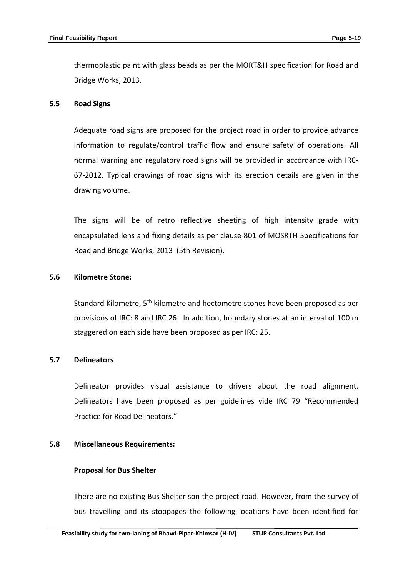thermoplastic paint with glass beads as per the MORT&H specification for Road and Bridge Works, 2013.

#### **5.5 Road Signs**

Adequate road signs are proposed for the project road in order to provide advance information to regulate/control traffic flow and ensure safety of operations. All normal warning and regulatory road signs will be provided in accordance with IRC-67-2012. Typical drawings of road signs with its erection details are given in the drawing volume.

The signs will be of retro reflective sheeting of high intensity grade with encapsulated lens and fixing details as per clause 801 of MOSRTH Specifications for Road and Bridge Works, 2013 (5th Revision).

#### **5.6 Kilometre Stone:**

Standard Kilometre, 5<sup>th</sup> kilometre and hectometre stones have been proposed as per provisions of IRC: 8 and IRC 26. In addition, boundary stones at an interval of 100 m staggered on each side have been proposed as per IRC: 25.

### **5.7 Delineators**

Delineator provides visual assistance to drivers about the road alignment. Delineators have been proposed as per guidelines vide IRC 79 "Recommended Practice for Road Delineators."

#### **5.8 Miscellaneous Requirements:**

#### **Proposal for Bus Shelter**

There are no existing Bus Shelter son the project road. However, from the survey of bus travelling and its stoppages the following locations have been identified for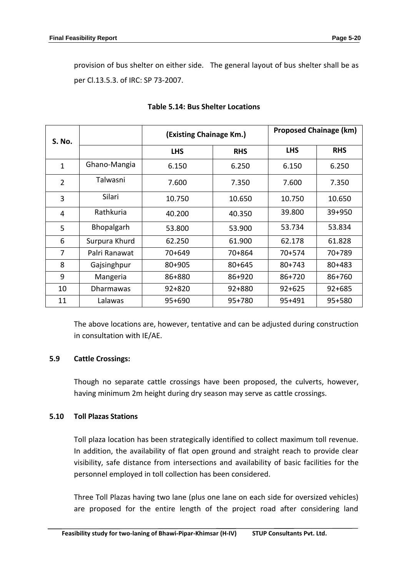provision of bus shelter on either side. The general layout of bus shelter shall be as per Cl.13.5.3. of IRC: SP 73-2007.

| S. No.         |                  | (Existing Chainage Km.) |            | <b>Proposed Chainage (km)</b> |            |  |
|----------------|------------------|-------------------------|------------|-------------------------------|------------|--|
|                |                  | <b>LHS</b>              | <b>RHS</b> | <b>LHS</b>                    | <b>RHS</b> |  |
| $\mathbf{1}$   | Ghano-Mangia     | 6.150                   | 6.250      | 6.150                         | 6.250      |  |
| $\overline{2}$ | Talwasni         | 7.600                   | 7.350      | 7.600                         | 7.350      |  |
| 3              | Silari           | 10.750                  | 10.650     | 10.750                        | 10.650     |  |
| 4              | Rathkuria        | 40.200                  | 40.350     | 39.800                        | $39 + 950$ |  |
| 5              | Bhopalgarh       | 53.800                  | 53.900     | 53.734                        | 53.834     |  |
| 6              | Surpura Khurd    | 62.250                  | 61.900     | 62.178                        | 61.828     |  |
| 7              | Palri Ranawat    | 70+649                  | 70+864     | 70+574                        | 70+789     |  |
| 8              | Gajsinghpur      | 80+905                  | $80 + 645$ | $80+743$                      | $80 + 483$ |  |
| 9              | Mangeria         | 86+880                  | 86+920     | 86+720                        | 86+760     |  |
| 10             | <b>Dharmawas</b> | $92 + 820$              | $92 + 880$ | $92+625$                      | $92 + 685$ |  |
| 11             | Lalawas          | $95+690$                | 95+780     | 95+491                        | 95+580     |  |

### **Table 5.14: Bus Shelter Locations**

The above locations are, however, tentative and can be adjusted during construction in consultation with IE/AE.

### **5.9 Cattle Crossings:**

Though no separate cattle crossings have been proposed, the culverts, however, having minimum 2m height during dry season may serve as cattle crossings.

### **5.10 Toll Plazas Stations**

Toll plaza location has been strategically identified to collect maximum toll revenue. In addition, the availability of flat open ground and straight reach to provide clear visibility, safe distance from intersections and availability of basic facilities for the personnel employed in toll collection has been considered.

Three Toll Plazas having two lane (plus one lane on each side for oversized vehicles) are proposed for the entire length of the project road after considering land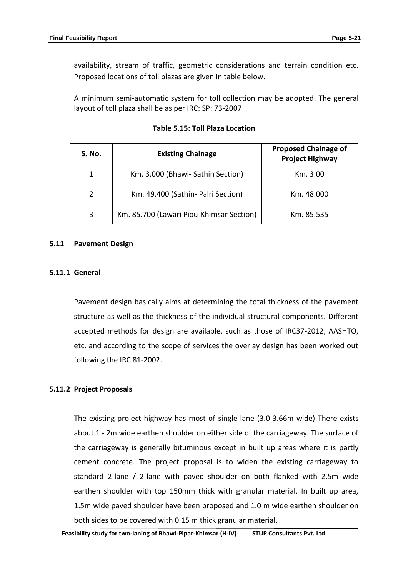availability, stream of traffic, geometric considerations and terrain condition etc. Proposed locations of toll plazas are given in table below.

A minimum semi-automatic system for toll collection may be adopted. The general layout of toll plaza shall be as per IRC: SP: 73-2007

| S. No. | <b>Existing Chainage</b>                 | <b>Proposed Chainage of</b><br><b>Project Highway</b> |
|--------|------------------------------------------|-------------------------------------------------------|
|        | Km. 3.000 (Bhawi- Sathin Section)        | Km. 3.00                                              |
|        | Km. 49.400 (Sathin- Palri Section)       | Km. 48.000                                            |
| 3      | Km. 85.700 (Lawari Piou-Khimsar Section) | Km. 85.535                                            |

**Table 5.15: Toll Plaza Location**

#### **5.11 Pavement Design**

#### **5.11.1 General**

Pavement design basically aims at determining the total thickness of the pavement structure as well as the thickness of the individual structural components. Different accepted methods for design are available, such as those of IRC37-2012, AASHTO, etc. and according to the scope of services the overlay design has been worked out following the IRC 81-2002.

#### **5.11.2 Project Proposals**

The existing project highway has most of single lane (3.0-3.66m wide) There exists about 1 - 2m wide earthen shoulder on either side of the carriageway. The surface of the carriageway is generally bituminous except in built up areas where it is partly cement concrete. The project proposal is to widen the existing carriageway to standard 2-lane / 2-lane with paved shoulder on both flanked with 2.5m wide earthen shoulder with top 150mm thick with granular material. In built up area, 1.5m wide paved shoulder have been proposed and 1.0 m wide earthen shoulder on both sides to be covered with 0.15 m thick granular material.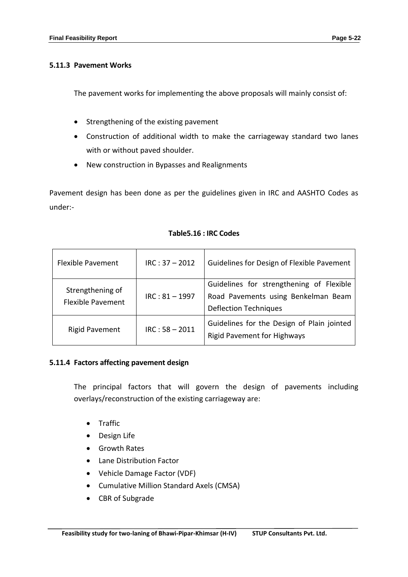### **5.11.3 Pavement Works**

The pavement works for implementing the above proposals will mainly consist of:

- Strengthening of the existing pavement
- Construction of additional width to make the carriageway standard two lanes with or without paved shoulder.
- New construction in Bypasses and Realignments

Pavement design has been done as per the guidelines given in IRC and AASHTO Codes as under:-

| <b>Flexible Pavement</b>                     | $IRC: 37 - 2012$ | Guidelines for Design of Flexible Pavement                                                                      |
|----------------------------------------------|------------------|-----------------------------------------------------------------------------------------------------------------|
| Strengthening of<br><b>Flexible Pavement</b> | $IRC: 81 - 1997$ | Guidelines for strengthening of Flexible<br>Road Pavements using Benkelman Beam<br><b>Deflection Techniques</b> |
| <b>Rigid Pavement</b>                        | $IRC: 58 - 2011$ | Guidelines for the Design of Plain jointed<br><b>Rigid Pavement for Highways</b>                                |

### **Table5.16 : IRC Codes**

# **5.11.4 Factors affecting pavement design**

The principal factors that will govern the design of pavements including overlays/reconstruction of the existing carriageway are:

- **•** Traffic
- Design Life
- Growth Rates
- Lane Distribution Factor
- Vehicle Damage Factor (VDF)
- Cumulative Million Standard Axels (CMSA)
- CBR of Subgrade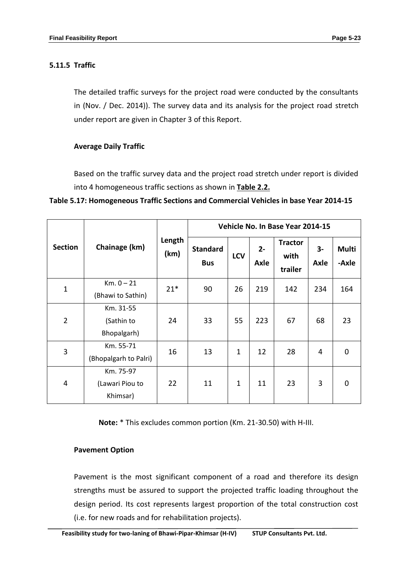# **5.11.5 Traffic**

The detailed traffic surveys for the project road were conducted by the consultants in (Nov. / Dec. 2014)). The survey data and its analysis for the project road stretch under report are given in Chapter 3 of this Report.

# **Average Daily Traffic**

Based on the traffic survey data and the project road stretch under report is divided into 4 homogeneous traffic sections as shown in **Table 2.2.**

**Table 5.17: Homogeneous Traffic Sections and Commercial Vehicles in base Year 2014-15**

|                |                                          |                | Vehicle No. In Base Year 2014-15 |            |               |                                   |                |                       |  |
|----------------|------------------------------------------|----------------|----------------------------------|------------|---------------|-----------------------------------|----------------|-----------------------|--|
| <b>Section</b> | Chainage (km)                            | Length<br>(km) | <b>Standard</b><br><b>Bus</b>    | <b>LCV</b> | $2 -$<br>Axle | <b>Tractor</b><br>with<br>trailer | $3-$<br>Axle   | <b>Multi</b><br>-Axle |  |
| $\mathbf{1}$   | $Km. 0 - 21$<br>(Bhawi to Sathin)        | $21*$          | 90                               | 26         | 219           | 142                               | 234            | 164                   |  |
| $\overline{2}$ | Km. 31-55<br>(Sathin to<br>Bhopalgarh)   | 24             | 33                               | 55         | 223           | 67                                | 68             | 23                    |  |
| 3              | Km. 55-71<br>(Bhopalgarh to Palri)       | 16             | 13                               | 1          | 12            | 28                                | $\overline{4}$ | $\mathbf 0$           |  |
| 4              | Km. 75-97<br>(Lawari Piou to<br>Khimsar) | 22             | 11                               | 1          | 11            | 23                                | 3              | $\mathbf 0$           |  |

**Note:** \* This excludes common portion (Km. 21-30.50) with H-III.

### **Pavement Option**

Pavement is the most significant component of a road and therefore its design strengths must be assured to support the projected traffic loading throughout the design period. Its cost represents largest proportion of the total construction cost (i.e. for new roads and for rehabilitation projects).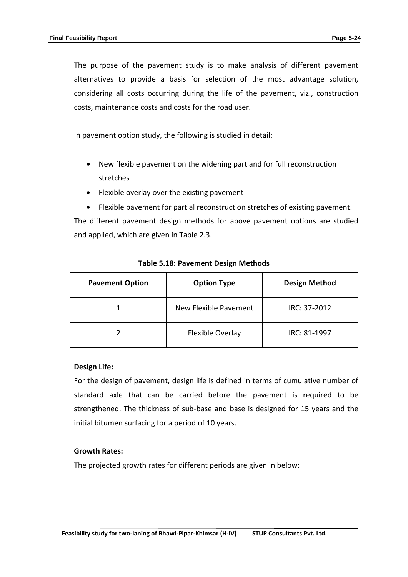The purpose of the pavement study is to make analysis of different pavement alternatives to provide a basis for selection of the most advantage solution, considering all costs occurring during the life of the pavement, viz., construction costs, maintenance costs and costs for the road user.

In pavement option study, the following is studied in detail:

- New flexible pavement on the widening part and for full reconstruction stretches
- Flexible overlay over the existing pavement
- Flexible pavement for partial reconstruction stretches of existing pavement.

The different pavement design methods for above pavement options are studied and applied, which are given in Table 2.3.

| <b>Pavement Option</b> | <b>Option Type</b>    | <b>Design Method</b> |
|------------------------|-----------------------|----------------------|
|                        | New Flexible Pavement | IRC: 37-2012         |
|                        | Flexible Overlay      | IRC: 81-1997         |

#### **Table 5.18: Pavement Design Methods**

#### **Design Life:**

For the design of pavement, design life is defined in terms of cumulative number of standard axle that can be carried before the pavement is required to be strengthened. The thickness of sub-base and base is designed for 15 years and the initial bitumen surfacing for a period of 10 years.

#### **Growth Rates:**

The projected growth rates for different periods are given in below: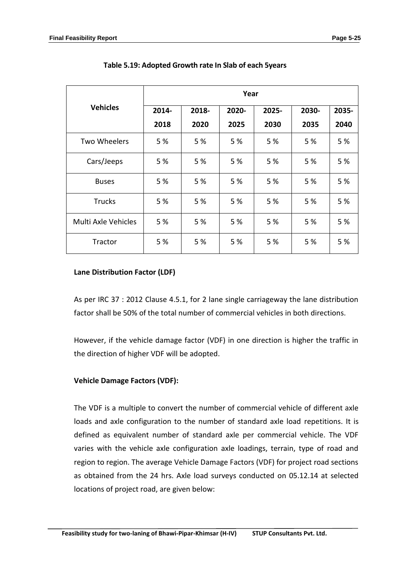|                     | Year  |       |       |       |       |       |  |  |
|---------------------|-------|-------|-------|-------|-------|-------|--|--|
| <b>Vehicles</b>     | 2014- | 2018- | 2020- | 2025- | 2030- | 2035- |  |  |
|                     | 2018  | 2020  | 2025  | 2030  | 2035  | 2040  |  |  |
| <b>Two Wheelers</b> | 5 %   | 5 %   | 5 %   | 5 %   | 5 %   | 5 %   |  |  |
| Cars/Jeeps          | 5 %   | 5 %   | 5 %   | 5 %   | 5 %   | 5 %   |  |  |
| <b>Buses</b>        | 5 %   | 5 %   | 5 %   | 5 %   | 5 %   | 5 %   |  |  |
| <b>Trucks</b>       | 5 %   | 5%    | 5 %   | 5 %   | 5 %   | 5 %   |  |  |
| Multi Axle Vehicles | 5 %   | 5%    | 5%    | 5 %   | 5 %   | 5 %   |  |  |
| Tractor             | 5 %   | 5%    | 5 %   | 5 %   | 5 %   | 5 %   |  |  |

**Table 5.19: Adopted Growth rate In Slab of each 5years**

# **Lane Distribution Factor (LDF)**

As per IRC 37 : 2012 Clause 4.5.1, for 2 lane single carriageway the lane distribution factor shall be 50% of the total number of commercial vehicles in both directions.

However, if the vehicle damage factor (VDF) in one direction is higher the traffic in the direction of higher VDF will be adopted.

# **Vehicle Damage Factors (VDF):**

The VDF is a multiple to convert the number of commercial vehicle of different axle loads and axle configuration to the number of standard axle load repetitions. It is defined as equivalent number of standard axle per commercial vehicle. The VDF varies with the vehicle axle configuration axle loadings, terrain, type of road and region to region. The average Vehicle Damage Factors (VDF) for project road sections as obtained from the 24 hrs. Axle load surveys conducted on 05.12.14 at selected locations of project road, are given below: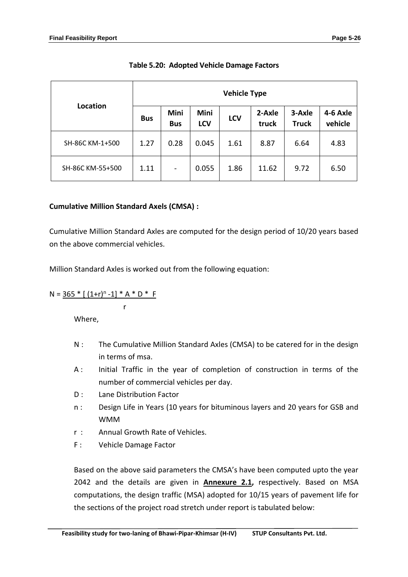|                  | <b>Vehicle Type</b> |                           |                           |            |                 |                        |                     |  |
|------------------|---------------------|---------------------------|---------------------------|------------|-----------------|------------------------|---------------------|--|
| Location         | <b>Bus</b>          | <b>Mini</b><br><b>Bus</b> | <b>Mini</b><br><b>LCV</b> | <b>LCV</b> | 2-Axle<br>truck | 3-Axle<br><b>Truck</b> | 4-6 Axle<br>vehicle |  |
| SH-86C KM-1+500  | 1.27                | 0.28                      | 0.045                     | 1.61       | 8.87            | 6.64                   | 4.83                |  |
| SH-86C KM-55+500 | 1.11                | $\overline{\phantom{a}}$  | 0.055                     | 1.86       | 11.62           | 9.72                   | 6.50                |  |

# **Table 5.20: Adopted Vehicle Damage Factors**

# **Cumulative Million Standard Axels (CMSA) :**

r

Cumulative Million Standard Axles are computed for the design period of 10/20 years based on the above commercial vehicles.

Million Standard Axles is worked out from the following equation:

$$
N = \frac{365 * [(1+r)^n - 1] * A * D * F}{}
$$

Where,

- N : The Cumulative Million Standard Axles (CMSA) to be catered for in the design in terms of msa.
- A : Initial Traffic in the year of completion of construction in terms of the number of commercial vehicles per day.
- D : Lane Distribution Factor
- n : Design Life in Years (10 years for bituminous layers and 20 years for GSB and WMM
- r : Annual Growth Rate of Vehicles.
- F : Vehicle Damage Factor

Based on the above said parameters the CMSA's have been computed upto the year 2042 and the details are given in **Annexure 2.1,** respectively. Based on MSA computations, the design traffic (MSA) adopted for 10/15 years of pavement life for the sections of the project road stretch under report is tabulated below: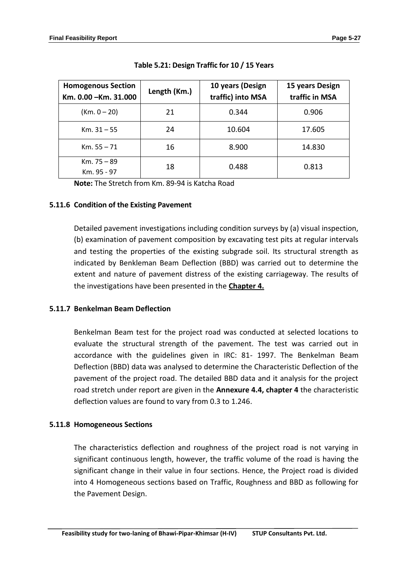| <b>Homogenous Section</b><br>Km. 0.00 - Km. 31.000 | Length (Km.) | 10 years (Design<br>traffic) into MSA | 15 years Design<br>traffic in MSA |
|----------------------------------------------------|--------------|---------------------------------------|-----------------------------------|
| $(Km. 0 - 20)$                                     | 21           | 0.344                                 | 0.906                             |
| $Km. 31 - 55$                                      | 24           | 10.604                                | 17.605                            |
| $Km. 55 - 71$                                      | 16           | 8.900                                 | 14.830                            |
| $Km. 75 - 89$<br>Km. 95 - 97                       | 18           | 0.488                                 | 0.813                             |

**Note:** The Stretch from Km. 89-94 is Katcha Road

# **5.11.6 Condition of the Existing Pavement**

Detailed pavement investigations including condition surveys by (a) visual inspection, (b) examination of pavement composition by excavating test pits at regular intervals and testing the properties of the existing subgrade soil. Its structural strength as indicated by Benkleman Beam Deflection (BBD) was carried out to determine the extent and nature of pavement distress of the existing carriageway. The results of the investigations have been presented in the **Chapter 4.**

# **5.11.7 Benkelman Beam Deflection**

Benkelman Beam test for the project road was conducted at selected locations to evaluate the structural strength of the pavement. The test was carried out in accordance with the guidelines given in IRC: 81- 1997. The Benkelman Beam Deflection (BBD) data was analysed to determine the Characteristic Deflection of the pavement of the project road. The detailed BBD data and it analysis for the project road stretch under report are given in the **Annexure 4.4, chapter 4** the characteristic deflection values are found to vary from 0.3 to 1.246.

# **5.11.8 Homogeneous Sections**

The characteristics deflection and roughness of the project road is not varying in significant continuous length, however, the traffic volume of the road is having the significant change in their value in four sections. Hence, the Project road is divided into 4 Homogeneous sections based on Traffic, Roughness and BBD as following for the Pavement Design.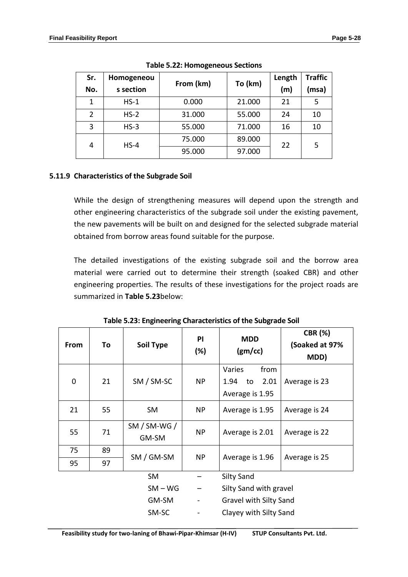| Sr.            | Homogeneou |           |         | Length | <b>Traffic</b> |
|----------------|------------|-----------|---------|--------|----------------|
| No.            | s section  | From (km) | To (km) | (m)    | (msa)          |
| 1              | $HS-1$     | 0.000     | 21.000  | 21     | 5              |
| $\overline{2}$ | $HS-2$     | 31.000    | 55.000  | 24     | 10             |
| 3              | $HS-3$     | 55.000    | 71.000  | 16     | 10             |
| 4              | $HS-4$     | 75.000    | 89.000  | 22     | 5              |
|                |            | 95.000    | 97.000  |        |                |

**Table 5.22: Homogeneous Sections**

# **5.11.9 Characteristics of the Subgrade Soil**

While the design of strengthening measures will depend upon the strength and other engineering characteristics of the subgrade soil under the existing pavement, the new pavements will be built on and designed for the selected subgrade material obtained from borrow areas found suitable for the purpose.

The detailed investigations of the existing subgrade soil and the borrow area material were carried out to determine their strength (soaked CBR) and other engineering properties. The results of these investigations for the project roads are summarized in **Table 5.23**below:

| From | To | Soil Type               | <b>PI</b><br>$(\%)$      | <b>MDD</b><br>(gm/cc)                                   | <b>CBR (%)</b><br>(Soaked at 97%<br>MDD) |
|------|----|-------------------------|--------------------------|---------------------------------------------------------|------------------------------------------|
| 0    | 21 | SM / SM-SC              | NP                       | Varies<br>from<br>2.01<br>1.94<br>to<br>Average is 1.95 | Average is 23                            |
| 21   | 55 | <b>SM</b>               | NP.                      | Average is 1.95                                         | Average is 24                            |
| 55   | 71 | $SM / SM-WG /$<br>GM-SM | <b>NP</b>                | Average is 2.01                                         | Average is 22                            |
| 75   | 89 |                         |                          |                                                         |                                          |
| 95   | 97 | SM / GM-SM              | NP                       | Average is 1.96                                         | Average is 25                            |
|      |    | <b>SM</b>               |                          | <b>Silty Sand</b>                                       |                                          |
|      |    | $SM - WG$               |                          | Silty Sand with gravel                                  |                                          |
|      |    | GM-SM                   | $\overline{\phantom{0}}$ | <b>Gravel with Silty Sand</b>                           |                                          |
|      |    | SM-SC                   | $\overline{\phantom{0}}$ | Clayey with Silty Sand                                  |                                          |

**Table 5.23: Engineering Characteristics of the Subgrade Soil**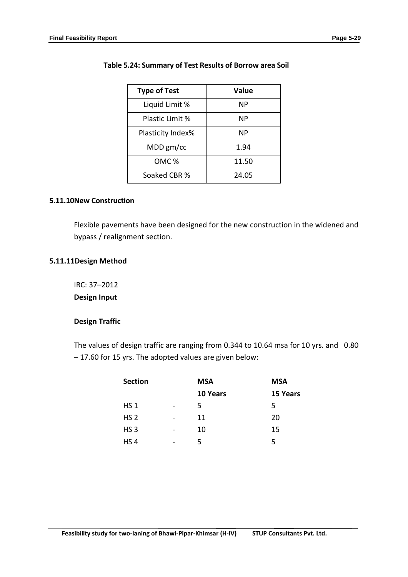| <b>Type of Test</b> | Value |
|---------------------|-------|
| Liquid Limit %      | ΝP    |
| Plastic Limit %     | ΝP    |
| Plasticity Index%   | ΝP    |
| $MDD$ gm/cc         | 1.94  |
| OMC <sup>%</sup>    | 11.50 |
| Soaked CBR %        | 24.05 |

### **Table 5.24: Summary of Test Results of Borrow area Soil**

### **5.11.10New Construction**

Flexible pavements have been designed for the new construction in the widened and bypass / realignment section.

### **5.11.11Design Method**

IRC: 37–2012 **Design Input**

### **Design Traffic**

The values of design traffic are ranging from 0.344 to 10.64 msa for 10 yrs. and 0.80 – 17.60 for 15 yrs. The adopted values are given below:

| <b>Section</b>  |   | <b>MSA</b> | <b>MSA</b> |
|-----------------|---|------------|------------|
|                 |   | 10 Years   | 15 Years   |
| <b>HS 1</b>     |   | 5          | 5          |
| HS <sub>2</sub> | - | 11         | 20         |
| HS <sub>3</sub> |   | 10         | 15         |
| HS <sub>4</sub> |   | 5          | 5          |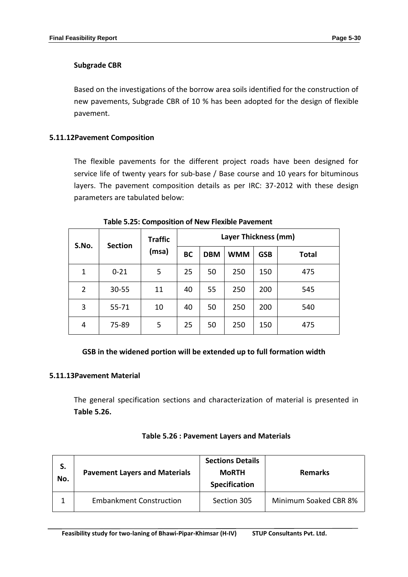# **Subgrade CBR**

Based on the investigations of the borrow area soils identified for the construction of new pavements, Subgrade CBR of 10 % has been adopted for the design of flexible pavement.

# **5.11.12Pavement Composition**

The flexible pavements for the different project roads have been designed for service life of twenty years for sub-base / Base course and 10 years for bituminous layers. The pavement composition details as per IRC: 37-2012 with these design parameters are tabulated below:

| S.No.        | <b>Section</b> | <b>Traffic</b><br>(msa) | Layer Thickness (mm) |            |            |            |              |
|--------------|----------------|-------------------------|----------------------|------------|------------|------------|--------------|
|              |                |                         | <b>BC</b>            | <b>DBM</b> | <b>WMM</b> | <b>GSB</b> | <b>Total</b> |
| $\mathbf{1}$ | $0 - 21$       | 5                       | 25                   | 50         | 250        | 150        | 475          |
| 2            | $30 - 55$      | 11                      | 40                   | 55         | 250        | 200        | 545          |
| 3            | 55-71          | 10                      | 40                   | 50         | 250        | 200        | 540          |
| 4            | 75-89          | 5                       | 25                   | 50         | 250        | 150        | 475          |

**Table 5.25: Composition of New Flexible Pavement** 

# **GSB in the widened portion will be extended up to full formation width**

### **5.11.13Pavement Material**

The general specification sections and characterization of material is presented in **Table 5.26.**

| S.<br>No. | <b>Pavement Layers and Materials</b> | <b>Sections Details</b><br><b>MoRTH</b><br><b>Specification</b> | <b>Remarks</b>        |
|-----------|--------------------------------------|-----------------------------------------------------------------|-----------------------|
|           | <b>Embankment Construction</b>       | Section 305                                                     | Minimum Soaked CBR 8% |

### **Table 5.26 : Pavement Layers and Materials**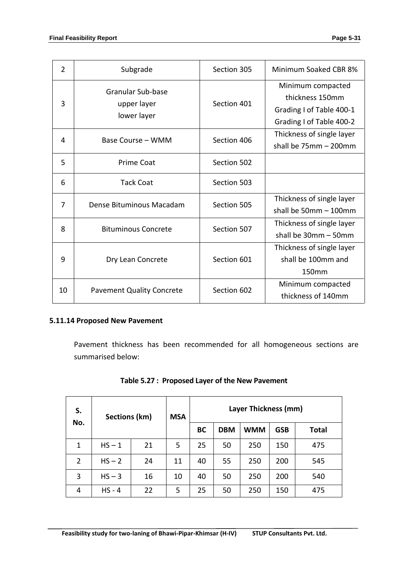| $\overline{2}$ | Subgrade                                               | Section 305 | Minimum Soaked CBR 8%                                                                        |
|----------------|--------------------------------------------------------|-------------|----------------------------------------------------------------------------------------------|
| 3              | <b>Granular Sub-base</b><br>upper layer<br>lower layer | Section 401 | Minimum compacted<br>thickness 150mm<br>Grading I of Table 400-1<br>Grading I of Table 400-2 |
| 4              | Base Course – WMM                                      | Section 406 | Thickness of single layer<br>shall be $75mm - 200mm$                                         |
| 5              | Prime Coat                                             | Section 502 |                                                                                              |
| 6              | <b>Tack Coat</b>                                       | Section 503 |                                                                                              |
| 7              | Dense Bituminous Macadam                               | Section 505 | Thickness of single layer<br>shall be $50mm - 100mm$                                         |
| 8              | <b>Bituminous Concrete</b>                             | Section 507 | Thickness of single layer<br>shall be 30mm - 50mm                                            |
| 9              | Dry Lean Concrete                                      | Section 601 | Thickness of single layer<br>shall be 100mm and<br>150mm                                     |
| 10             | <b>Pavement Quality Concrete</b>                       | Section 602 | Minimum compacted<br>thickness of 140mm                                                      |

# **5.11.14 Proposed New Pavement**

Pavement thickness has been recommended for all homogeneous sections are summarised below:

| S.<br>No.      | Sections (km) |    | <b>MSA</b> | Layer Thickness (mm) |            |            |            |              |
|----------------|---------------|----|------------|----------------------|------------|------------|------------|--------------|
|                |               |    |            | <b>BC</b>            | <b>DBM</b> | <b>WMM</b> | <b>GSB</b> | <b>Total</b> |
| 1              | $HS - 1$      | 21 | 5          | 25                   | 50         | 250        | 150        | 475          |
| $\overline{2}$ | $HS - 2$      | 24 | 11         | 40                   | 55         | 250        | 200        | 545          |
| 3              | $HS - 3$      | 16 | 10         | 40                   | 50         | 250        | 200        | 540          |
| 4              | $HS - 4$      | 22 | 5          | 25                   | 50         | 250        | 150        | 475          |

# **Table 5.27 : Proposed Layer of the New Pavement**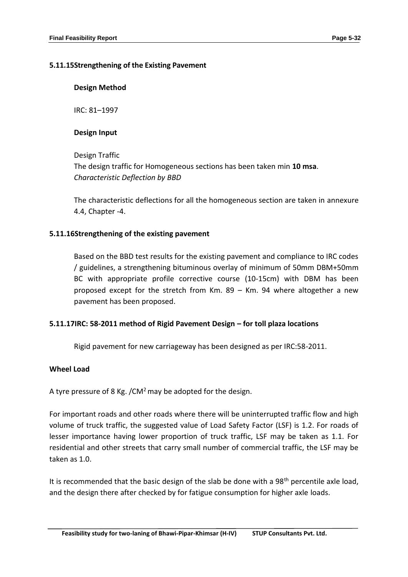### **5.11.15Strengthening of the Existing Pavement**

### **Design Method**

IRC: 81–1997

# **Design Input**

Design Traffic The design traffic for Homogeneous sections has been taken min **10 msa**. *Characteristic Deflection by BBD*

The characteristic deflections for all the homogeneous section are taken in annexure 4.4, Chapter -4.

# **5.11.16Strengthening of the existing pavement**

Based on the BBD test results for the existing pavement and compliance to IRC codes / guidelines, a strengthening bituminous overlay of minimum of 50mm DBM+50mm BC with appropriate profile corrective course (10-15cm) with DBM has been proposed except for the stretch from Km. 89 – Km. 94 where altogether a new pavement has been proposed.

# **5.11.17IRC: 58-2011 method of Rigid Pavement Design – for toll plaza locations**

Rigid pavement for new carriageway has been designed as per IRC:58-2011.

# **Wheel Load**

A tyre pressure of 8 Kg. /CM<sup>2</sup> may be adopted for the design.

For important roads and other roads where there will be uninterrupted traffic flow and high volume of truck traffic, the suggested value of Load Safety Factor (LSF) is 1.2. For roads of lesser importance having lower proportion of truck traffic, LSF may be taken as 1.1. For residential and other streets that carry small number of commercial traffic, the LSF may be taken as 1.0.

It is recommended that the basic design of the slab be done with a  $98<sup>th</sup>$  percentile axle load, and the design there after checked by for fatigue consumption for higher axle loads.